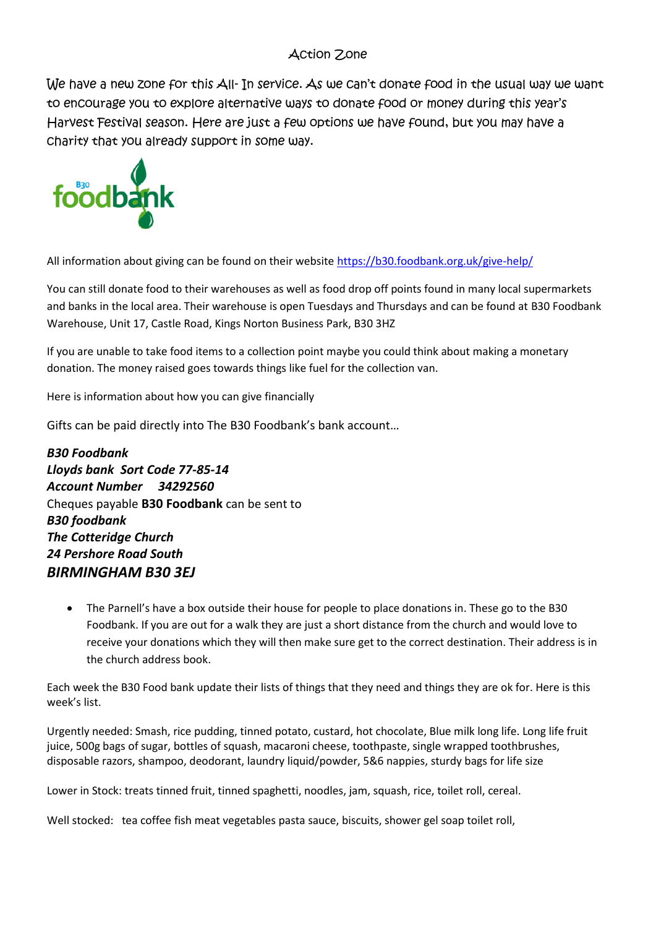## Action Zone

We have a new zone for this All- In service. As we can't donate food in the usual way we want to encourage you to explore alternative ways to donate food or money during this year's Harvest Festival season. Here are just a few options we have found, but you may have a charity that you already support in some way.



All information about giving can be found on their website<https://b30.foodbank.org.uk/give-help/>

You can still donate food to their warehouses as well as food drop off points found in many local supermarkets and banks in the local area. Their warehouse is open Tuesdays and Thursdays and can be found at B30 Foodbank Warehouse, Unit 17, Castle Road, Kings Norton Business Park, B30 3HZ

If you are unable to take food items to a collection point maybe you could think about making a monetary donation. The money raised goes towards things like fuel for the collection van.

Here is information about how you can give financially

Gifts can be paid directly into The B30 Foodbank's bank account…

*B30 Foodbank Lloyds bank Sort Code 77-85-14 Account Number 34292560* Cheques payable **B30 Foodbank** can be sent to *B30 foodbank The Cotteridge Church 24 Pershore Road South BIRMINGHAM B30 3EJ*

• The Parnell's have a box outside their house for people to place donations in. These go to the B30 Foodbank. If you are out for a walk they are just a short distance from the church and would love to receive your donations which they will then make sure get to the correct destination. Their address is in the church address book.

Each week the B30 Food bank update their lists of things that they need and things they are ok for. Here is this week's list.

Urgently needed: Smash, rice pudding, tinned potato, custard, hot chocolate, Blue milk long life. Long life fruit juice, 500g bags of sugar, bottles of squash, macaroni cheese, toothpaste, single wrapped toothbrushes, disposable razors, shampoo, deodorant, laundry liquid/powder, 5&6 nappies, sturdy bags for life size

Lower in Stock: treats tinned fruit, tinned spaghetti, noodles, jam, squash, rice, toilet roll, cereal.

Well stocked: tea coffee fish meat vegetables pasta sauce, biscuits, shower gel soap toilet roll,